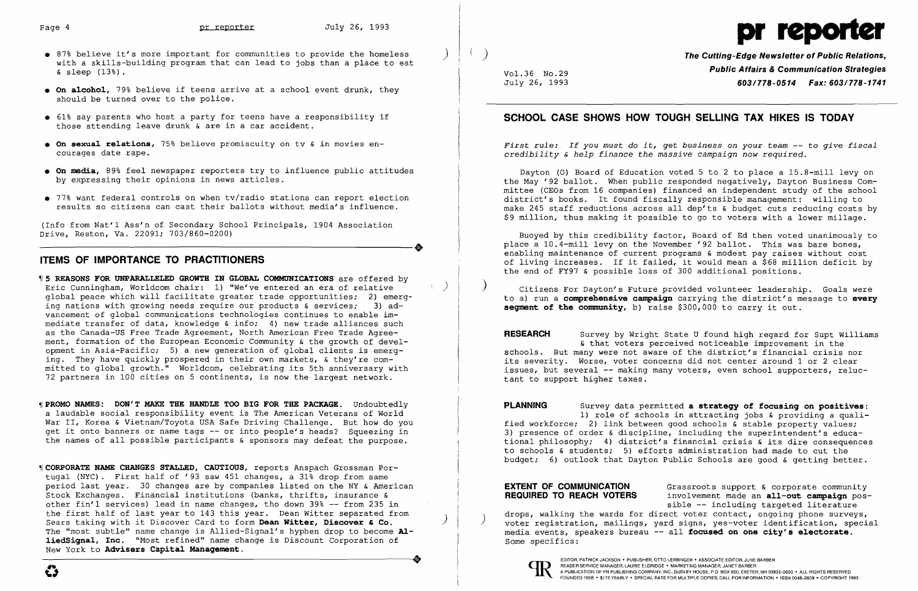- 87% believe it's more important for communities to provide the homeless with a skills-building program that can lead to jobs than a place to eat & sleep (13%).
- **•** On alcohol, 79% believe if teens arrive at a school event drunk, they should be turned over to the police.
- • 61% say parents who host a party for teens have a responsibility if those attending leave drunk & are in a car accident.
- **On sexual relations,** 75% believe promiscuity on tv & in movies encourages date rape.
- **• On media,** 89% feel newspaper reporters try to influence public attitudes by expressing their opinions in news articles. Ī
- • 77% want federal controls on when tv/radio stations can report election results so citizens can cast their ballots without media's influence.

(Info from Nat'l Ass'n of Secondary School Principals, 1904 Association ----------------------+ Drive, Eeston, Va. 22091; 703/860-0200)

#### **ITEMS OF IMPORTANCE TO PRACTITIONERS**

*First rule: If you must do it, get business on your team -- to give fiscal credibility* & *help finance the massive campaign now required.* 

**RESEARCH** Survey by Wright State U found high regard for Supt Williams & that voters perceived noticeable improvement in the schools. But many were not aware of the district's financial crisis nor its severity. Worse, voter concerns did not center around 1 or 2 clear issues, but several -- making many voters, even school supporters, reluctant to support higher taxes.

**REQUIRED TO REACH VOTERS**  drops, walking the wards for direct voter contact, ongoing phone surveys,<br>voter registration, mailings, yard signs, yes-voter identification, special media events, speakers bureau -- all **focused on one city's e1ectorate.**  Some specifics: Grassroots support & corporate community involvement made an **a11-out campaign** possible -- including targeted literature drops, walking the wards for direct voter contact, ongoing phone surveys,

)

Vol. 36 No. 29 July 26, 1993



**The Cutting-Edge NeWSletter of Public Relations, Public Affairs & Communication Strategies**  *603/778-0514 Fax: 603/778-1741* 

#### **SCHOOL CASE SHOWS HOW TOUGH SELLING TAX HIKES IS TODAY**

- ~I **5 REASONS FOR UNPARALLELED GROWTH IN GLOBAL COMMUNICATIONS** are offered by Eric Cunningham, Worldcom chair: 1) "We've entered an era of relative ) global peace which will facilitate greater trade opportunities; 2) emerging nations with growing needs require our products & services:  $3)$  advancement of global communications technologies continues to enable immediate transfer of data, knowledge & info; 4) new trade alliances such as the Canada-US Free Trade Agreement, North American Free Trade Agreement, formation of the European Economic Community & the growth of development in Asia-Pacific; 5) a new generation of global clients is emerging. They have quickly prospered in their own markets, & they're committed to global growth." Worldcom, celebrating its 5th anniversary with 72 partners in 100 cities on 5 continents, is now the largest network.
- ~I **PROMO NAMES: DON'T MAKE THE HANDLE TOO BIG FOR THE PACKAGE.** Undoubtedly a laudable social responsibility event is The American Veterans of World War II, Korea & Vietnam/Toyota USA Safe Driving Challenge. But how do you get it onto banners or name tags -- or into people's heads? Squeezing in the names of all possible participants & sponsors may defeat the purpose.
- ~I **CORPORATE NAME CHANGES STALLED, CAUTIOUS,** reports Anspach Grossman Portugal (NYC). First half of '93 saw 451 changes, a 31% drop from same period last year. 30 changes are by companies listed on the NY & American Stock Exchanges. Financial institutions (banks, thrifts, insurance & other fin'l services) lead in name changes, tho down 39% -- from 235 in the first half of last year to 143 this year. Dean Witter separated from Sears taking with it Discover Card to form **Dean Witter, Discover & Co.** ) The "most subtle" name change is Allied-Signal's hyphen drop to become **A1 1iedSigna1, Inc.** "Most refined" name change is Discount Corporation of New York to **Advisers Capita1 Management.**  -----------------------------+ EDITOR, PATRICK JACKSON' PUBLISHER, OTTO LERBINGER • ASSOCIATE EDITOR, JUNE BARBER

Dayton (0) Board of Education voted 5 to 2 to place a 15.8-mill levy on the May '92 ballot. When public responded negatively, Dayton Business Committee (CEOs from 16 companies) financed an independent study of the school district's books. It found fiscally responsible management: willing to make 245 staff reductions across all dep'ts & budget cuts reducing costs by \$9 million, thus making it possible to go to voters with a lower millage.

Buoyed by this credibility factor, Board of Ed then voted unanimously to place a 10.4-mill levy on the November '92 ballot. This was bare bones, enabling maintenance of current programs & modest pay raises without cost of living increases. If it failed, it would mean a \$68 million deficit by the end of FY97 & possible loss of 300 additional positions.

) Citizens For Dayton's Future provided volunteer leadership. Goals were to a) run a **comprehensive campaign** carrying the district's message to **every segment of the community,** b) raise \$300,000 to carry it out.

**PLANNING** Survey data permitted **a strategy of focusing on positives:**  1) role of schools in attracting jobs & providing a qualified workforce; 2) link between good schools & stable property values; 3) presence of order & discipline, including the superintendent's educational philosophy; 4) district's financial crisis & its dire consequences to schools & students; 5) efforts administration had made to cut the budget; 6) outlook that Dayton Public Schools are good & getting better.

# **EXTENT OF COMMUNICATION**